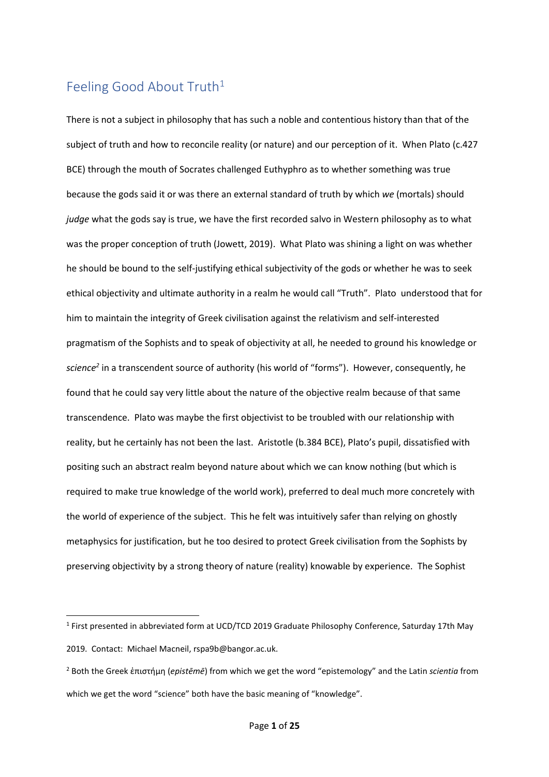## Feeling Good About Truth<sup>1</sup>

There is not a subject in philosophy that has such a noble and contentious history than that of the subject of truth and how to reconcile reality (or nature) and our perception of it. When Plato (c.427 BCE) through the mouth of Socrates challenged Euthyphro as to whether something was true because the gods said it or was there an external standard of truth by which *we* (mortals) should *judge* what the gods say is true, we have the first recorded salvo in Western philosophy as to what was the proper conception of truth (Jowett, 2019). What Plato was shining a light on was whether he should be bound to the self-justifying ethical subjectivity of the gods or whether he was to seek ethical objectivity and ultimate authority in a realm he would call "Truth". Plato understood that for him to maintain the integrity of Greek civilisation against the relativism and self-interested pragmatism of the Sophists and to speak of objectivity at all, he needed to ground his knowledge or *science<sup>2</sup>* in a transcendent source of authority (his world of "forms"). However, consequently, he found that he could say very little about the nature of the objective realm because of that same transcendence. Plato was maybe the first objectivist to be troubled with our relationship with reality, but he certainly has not been the last. Aristotle (b.384 BCE), Plato's pupil, dissatisfied with positing such an abstract realm beyond nature about which we can know nothing (but which is required to make true knowledge of the world work), preferred to deal much more concretely with the world of experience of the subject. This he felt was intuitively safer than relying on ghostly metaphysics for justification, but he too desired to protect Greek civilisation from the Sophists by preserving objectivity by a strong theory of nature (reality) knowable by experience. The Sophist

<sup>&</sup>lt;sup>1</sup> First presented in abbreviated form at UCD/TCD 2019 Graduate Philosophy Conference, Saturday 17th May 2019. Contact: Michael Macneil, rspa9b@bangor.ac.uk.

<sup>2</sup> Both the Greek ἐπιστήμη (*epistēmē*) from which we get the word "epistemology" and the Latin *scientia* from which we get the word "science" both have the basic meaning of "knowledge".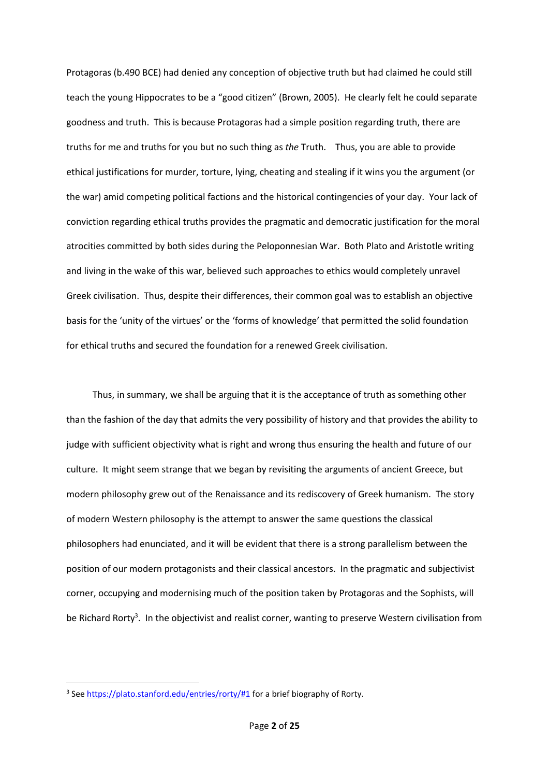Protagoras (b.490 BCE) had denied any conception of objective truth but had claimed he could still teach the young Hippocrates to be a "good citizen" (Brown, 2005). He clearly felt he could separate goodness and truth. This is because Protagoras had a simple position regarding truth, there are truths for me and truths for you but no such thing as *the* Truth. Thus, you are able to provide ethical justifications for murder, torture, lying, cheating and stealing if it wins you the argument (or the war) amid competing political factions and the historical contingencies of your day. Your lack of conviction regarding ethical truths provides the pragmatic and democratic justification for the moral atrocities committed by both sides during the Peloponnesian War. Both Plato and Aristotle writing and living in the wake of this war, believed such approaches to ethics would completely unravel Greek civilisation. Thus, despite their differences, their common goal was to establish an objective basis for the 'unity of the virtues' or the 'forms of knowledge' that permitted the solid foundation for ethical truths and secured the foundation for a renewed Greek civilisation.

Thus, in summary, we shall be arguing that it is the acceptance of truth as something other than the fashion of the day that admits the very possibility of history and that provides the ability to judge with sufficient objectivity what is right and wrong thus ensuring the health and future of our culture. It might seem strange that we began by revisiting the arguments of ancient Greece, but modern philosophy grew out of the Renaissance and its rediscovery of Greek humanism. The story of modern Western philosophy is the attempt to answer the same questions the classical philosophers had enunciated, and it will be evident that there is a strong parallelism between the position of our modern protagonists and their classical ancestors. In the pragmatic and subjectivist corner, occupying and modernising much of the position taken by Protagoras and the Sophists, will be Richard Rorty<sup>3</sup>. In the objectivist and realist corner, wanting to preserve Western civilisation from

<sup>&</sup>lt;sup>3</sup> See<https://plato.stanford.edu/entries/rorty/#1></u> for a brief biography of Rorty.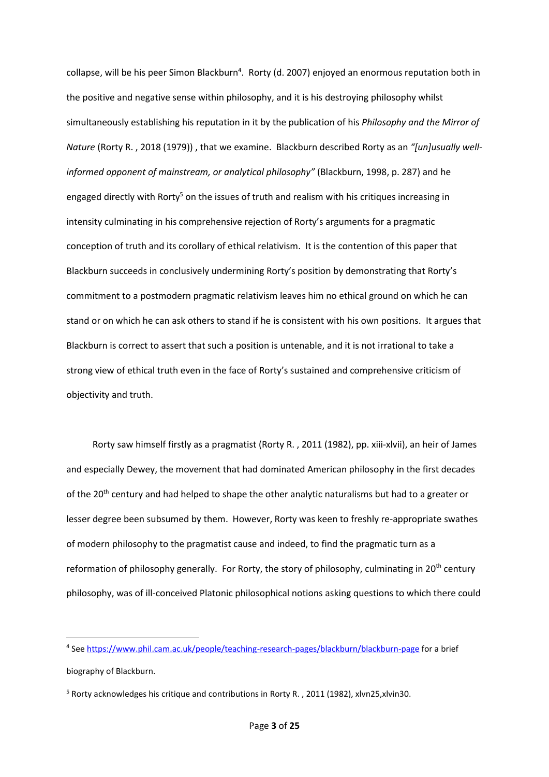collapse, will be his peer Simon Blackburn<sup>4</sup>. Rorty (d. 2007) enjoyed an enormous reputation both in the positive and negative sense within philosophy, and it is his destroying philosophy whilst simultaneously establishing his reputation in it by the publication of his *Philosophy and the Mirror of Nature* (Rorty R. , 2018 (1979)) , that we examine. Blackburn described Rorty as an *"[un]usually wellinformed opponent of mainstream, or analytical philosophy"* (Blackburn, 1998, p. 287) and he engaged directly with Rorty<sup>5</sup> on the issues of truth and realism with his critiques increasing in intensity culminating in his comprehensive rejection of Rorty's arguments for a pragmatic conception of truth and its corollary of ethical relativism. It is the contention of this paper that Blackburn succeeds in conclusively undermining Rorty's position by demonstrating that Rorty's commitment to a postmodern pragmatic relativism leaves him no ethical ground on which he can stand or on which he can ask others to stand if he is consistent with his own positions. It argues that Blackburn is correct to assert that such a position is untenable, and it is not irrational to take a strong view of ethical truth even in the face of Rorty's sustained and comprehensive criticism of objectivity and truth.

Rorty saw himself firstly as a pragmatist (Rorty R. , 2011 (1982), pp. xiii-xlvii), an heir of James and especially Dewey, the movement that had dominated American philosophy in the first decades of the 20<sup>th</sup> century and had helped to shape the other analytic naturalisms but had to a greater or lesser degree been subsumed by them. However, Rorty was keen to freshly re-appropriate swathes of modern philosophy to the pragmatist cause and indeed, to find the pragmatic turn as a reformation of philosophy generally. For Rorty, the story of philosophy, culminating in 20<sup>th</sup> century philosophy, was of ill-conceived Platonic philosophical notions asking questions to which there could

<sup>&</sup>lt;sup>4</sup> See<https://www.phil.cam.ac.uk/people/teaching-research-pages/blackburn/blackburn-page> for a brief biography of Blackburn.

<sup>5</sup> Rorty acknowledges his critique and contributions in Rorty R. , 2011 (1982), xlvn25,xlvin30.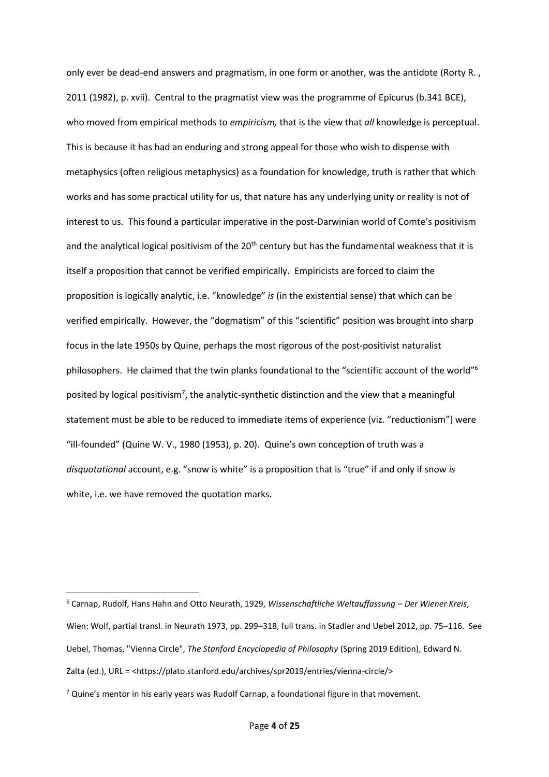only ever be dead-end answers and pragmatism, in one form or another, was the antidote (Rorty R., 2011 (1982), p. xvii). Central to the pragmatist view was the programme of Epicurus (b.341 BCE), who moved from empirical methods to *empiricism,* that is the view that *all* knowledge is perceptual. This is because it has had an enduring and strong appeal for those who wish to dispense with metaphysics (often religious metaphysics) as a foundation for knowledge, truth is rather that which works and has some practical utility for us, that nature has any underlying unity or reality is not of interest to us. This found a particular imperative in the post-Darwinian world of Comte's positivism and the analytical logical positivism of the 20<sup>th</sup> century but has the fundamental weakness that it is itself a proposition that cannot be verified empirically. Empiricists are forced to claim the proposition is logically analytic, i.e. "knowledge" *is* (in the existential sense) that which can be verified empirically. However, the "dogmatism" of this "scientific" position was brought into sharp focus in the late 1950s by Quine, perhaps the most rigorous of the post-positivist naturalist philosophers. He claimed that the twin planks foundational to the "scientific account of the world"<sup>6</sup> posited by logical positivism<sup>7</sup>, the analytic-synthetic distinction and the view that a meaningful statement must be able to be reduced to immediate items of experience (viz. "reductionism") were "ill-founded" (Quine W. V., 1980 (1953), p. 20). Quine's own conception of truth was a *disquotational* account, e.g. "snow is white" is a proposition that is "true" if and only if snow *is* white, i.e. we have removed the quotation marks.

<sup>6</sup> Carnap, Rudolf, Hans Hahn and Otto Neurath, 1929, *Wissenschaftliche Weltauffassung – Der Wiener Kreis*, Wien: Wolf, partial transl. in Neurath 1973, pp. 299–318, full trans. in Stadler and Uebel 2012, pp. 75–116. See Uebel, Thomas, "Vienna Circle", *The Stanford Encyclopedia of Philosophy* (Spring 2019 Edition), Edward N. Zalta (ed.), URL = <https://plato.stanford.edu/archives/spr2019/entries/vienna-circle/>

 $7$  Quine's mentor in his early years was Rudolf Carnap, a foundational figure in that movement.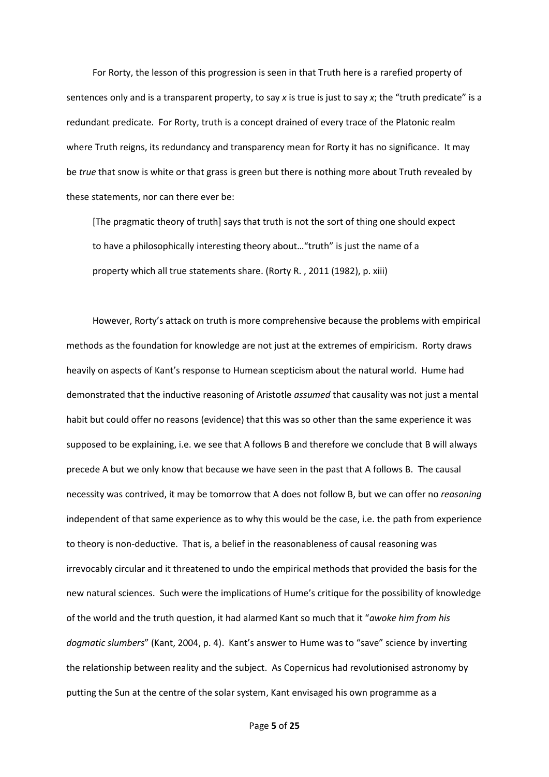For Rorty, the lesson of this progression is seen in that Truth here is a rarefied property of sentences only and is a transparent property, to say *x* is true is just to say *x*; the "truth predicate" is a redundant predicate. For Rorty, truth is a concept drained of every trace of the Platonic realm where Truth reigns, its redundancy and transparency mean for Rorty it has no significance. It may be *true* that snow is white or that grass is green but there is nothing more about Truth revealed by these statements, nor can there ever be:

[The pragmatic theory of truth] says that truth is not the sort of thing one should expect to have a philosophically interesting theory about…"truth" is just the name of a property which all true statements share. (Rorty R. , 2011 (1982), p. xiii)

However, Rorty's attack on truth is more comprehensive because the problems with empirical methods as the foundation for knowledge are not just at the extremes of empiricism. Rorty draws heavily on aspects of Kant's response to Humean scepticism about the natural world. Hume had demonstrated that the inductive reasoning of Aristotle *assumed* that causality was not just a mental habit but could offer no reasons (evidence) that this was so other than the same experience it was supposed to be explaining, i.e. we see that A follows B and therefore we conclude that B will always precede A but we only know that because we have seen in the past that A follows B. The causal necessity was contrived, it may be tomorrow that A does not follow B, but we can offer no *reasoning* independent of that same experience as to why this would be the case, i.e. the path from experience to theory is non-deductive. That is, a belief in the reasonableness of causal reasoning was irrevocably circular and it threatened to undo the empirical methods that provided the basis for the new natural sciences. Such were the implications of Hume's critique for the possibility of knowledge of the world and the truth question, it had alarmed Kant so much that it "*awoke him from his dogmatic slumbers*" (Kant, 2004, p. 4). Kant's answer to Hume was to "save" science by inverting the relationship between reality and the subject. As Copernicus had revolutionised astronomy by putting the Sun at the centre of the solar system, Kant envisaged his own programme as a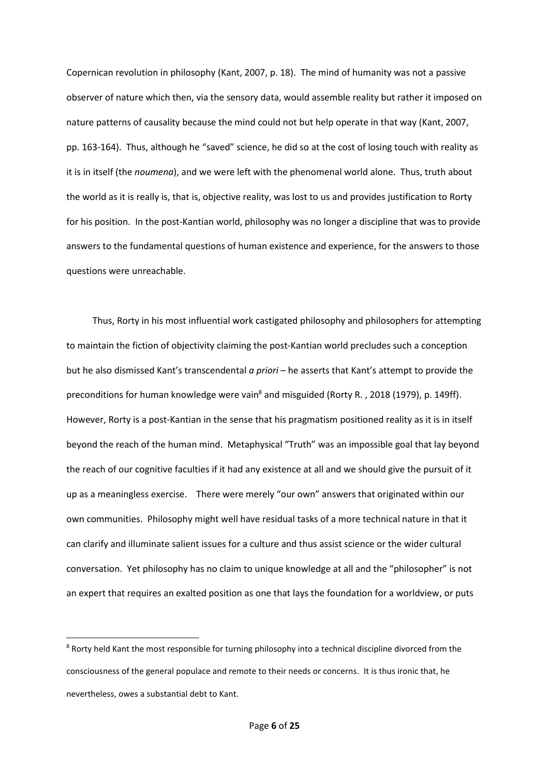Copernican revolution in philosophy (Kant, 2007, p. 18). The mind of humanity was not a passive observer of nature which then, via the sensory data, would assemble reality but rather it imposed on nature patterns of causality because the mind could not but help operate in that way (Kant, 2007, pp. 163-164). Thus, although he "saved" science, he did so at the cost of losing touch with reality as it is in itself (the *noumena*), and we were left with the phenomenal world alone. Thus, truth about the world as it is really is, that is, objective reality, was lost to us and provides justification to Rorty for his position. In the post-Kantian world, philosophy was no longer a discipline that was to provide answers to the fundamental questions of human existence and experience, for the answers to those questions were unreachable.

Thus, Rorty in his most influential work castigated philosophy and philosophers for attempting to maintain the fiction of objectivity claiming the post-Kantian world precludes such a conception but he also dismissed Kant's transcendental *a priori* – he asserts that Kant's attempt to provide the preconditions for human knowledge were vain<sup>8</sup> and misguided (Rorty R., 2018 (1979), p. 149ff). However, Rorty is a post-Kantian in the sense that his pragmatism positioned reality as it is in itself beyond the reach of the human mind. Metaphysical "Truth" was an impossible goal that lay beyond the reach of our cognitive faculties if it had any existence at all and we should give the pursuit of it up as a meaningless exercise. There were merely "our own" answers that originated within our own communities. Philosophy might well have residual tasks of a more technical nature in that it can clarify and illuminate salient issues for a culture and thus assist science or the wider cultural conversation. Yet philosophy has no claim to unique knowledge at all and the "philosopher" is not an expert that requires an exalted position as one that lays the foundation for a worldview, or puts

<sup>&</sup>lt;sup>8</sup> Rorty held Kant the most responsible for turning philosophy into a technical discipline divorced from the consciousness of the general populace and remote to their needs or concerns. It is thus ironic that, he nevertheless, owes a substantial debt to Kant.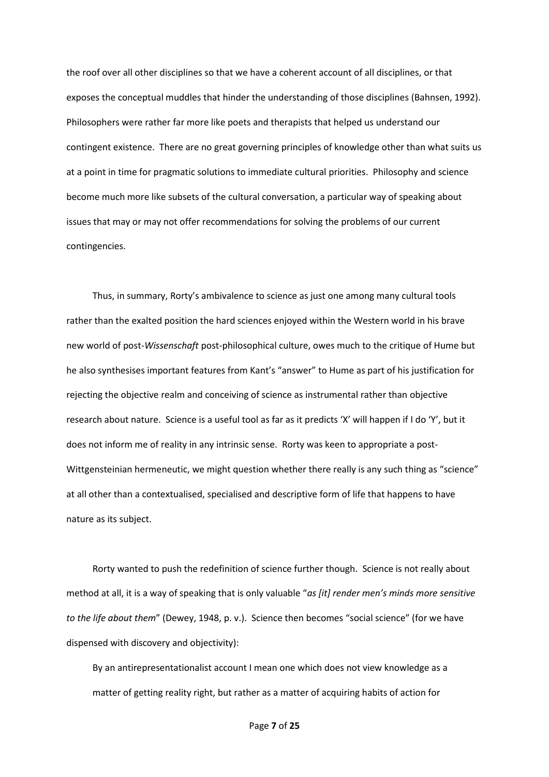the roof over all other disciplines so that we have a coherent account of all disciplines, or that exposes the conceptual muddles that hinder the understanding of those disciplines (Bahnsen, 1992). Philosophers were rather far more like poets and therapists that helped us understand our contingent existence. There are no great governing principles of knowledge other than what suits us at a point in time for pragmatic solutions to immediate cultural priorities. Philosophy and science become much more like subsets of the cultural conversation, a particular way of speaking about issues that may or may not offer recommendations for solving the problems of our current contingencies.

Thus, in summary, Rorty's ambivalence to science as just one among many cultural tools rather than the exalted position the hard sciences enjoyed within the Western world in his brave new world of post-*Wissenschaft* post-philosophical culture, owes much to the critique of Hume but he also synthesises important features from Kant's "answer" to Hume as part of his justification for rejecting the objective realm and conceiving of science as instrumental rather than objective research about nature. Science is a useful tool as far as it predicts 'X' will happen if I do 'Y', but it does not inform me of reality in any intrinsic sense. Rorty was keen to appropriate a post-Wittgensteinian hermeneutic, we might question whether there really is any such thing as "science" at all other than a contextualised, specialised and descriptive form of life that happens to have nature as its subject.

Rorty wanted to push the redefinition of science further though. Science is not really about method at all, it is a way of speaking that is only valuable "*as [it] render men's minds more sensitive to the life about them*" (Dewey, 1948, p. v.). Science then becomes "social science" (for we have dispensed with discovery and objectivity):

By an antirepresentationalist account I mean one which does not view knowledge as a matter of getting reality right, but rather as a matter of acquiring habits of action for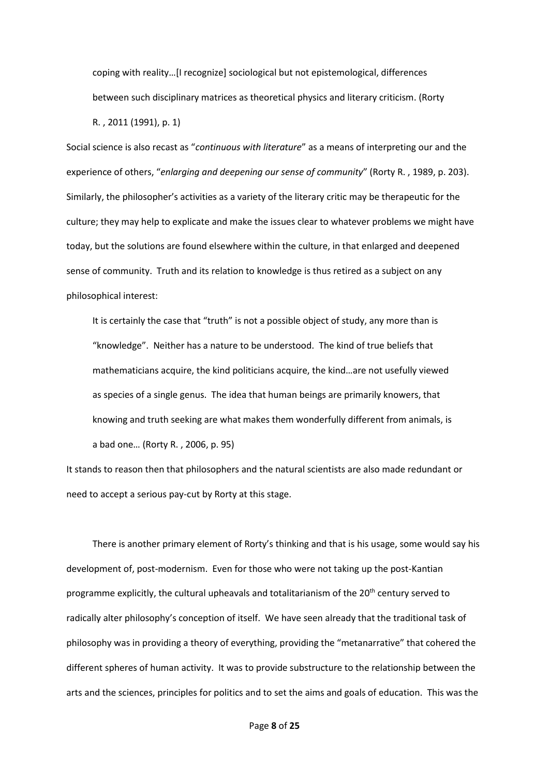coping with reality…[I recognize] sociological but not epistemological, differences between such disciplinary matrices as theoretical physics and literary criticism. (Rorty R. , 2011 (1991), p. 1)

Social science is also recast as "*continuous with literature*" as a means of interpreting our and the experience of others, "*enlarging and deepening our sense of community*" (Rorty R. , 1989, p. 203). Similarly, the philosopher's activities as a variety of the literary critic may be therapeutic for the culture; they may help to explicate and make the issues clear to whatever problems we might have today, but the solutions are found elsewhere within the culture, in that enlarged and deepened sense of community. Truth and its relation to knowledge is thus retired as a subject on any philosophical interest:

It is certainly the case that "truth" is not a possible object of study, any more than is "knowledge". Neither has a nature to be understood. The kind of true beliefs that mathematicians acquire, the kind politicians acquire, the kind…are not usefully viewed as species of a single genus. The idea that human beings are primarily knowers, that knowing and truth seeking are what makes them wonderfully different from animals, is a bad one… (Rorty R. , 2006, p. 95)

It stands to reason then that philosophers and the natural scientists are also made redundant or need to accept a serious pay-cut by Rorty at this stage.

There is another primary element of Rorty's thinking and that is his usage, some would say his development of, post-modernism. Even for those who were not taking up the post-Kantian programme explicitly, the cultural upheavals and totalitarianism of the 20<sup>th</sup> century served to radically alter philosophy's conception of itself. We have seen already that the traditional task of philosophy was in providing a theory of everything, providing the "metanarrative" that cohered the different spheres of human activity. It was to provide substructure to the relationship between the arts and the sciences, principles for politics and to set the aims and goals of education. This was the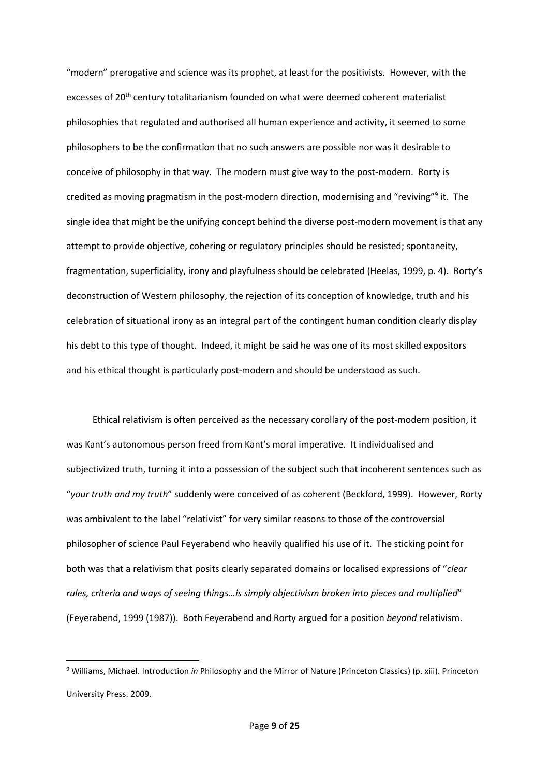"modern" prerogative and science was its prophet, at least for the positivists. However, with the excesses of 20<sup>th</sup> century totalitarianism founded on what were deemed coherent materialist philosophies that regulated and authorised all human experience and activity, it seemed to some philosophers to be the confirmation that no such answers are possible nor was it desirable to conceive of philosophy in that way. The modern must give way to the post-modern. Rorty is credited as moving pragmatism in the post-modern direction, modernising and "reviving"<sup>9</sup> it. The single idea that might be the unifying concept behind the diverse post-modern movement is that any attempt to provide objective, cohering or regulatory principles should be resisted; spontaneity, fragmentation, superficiality, irony and playfulness should be celebrated (Heelas, 1999, p. 4). Rorty's deconstruction of Western philosophy, the rejection of its conception of knowledge, truth and his celebration of situational irony as an integral part of the contingent human condition clearly display his debt to this type of thought. Indeed, it might be said he was one of its most skilled expositors and his ethical thought is particularly post-modern and should be understood as such.

Ethical relativism is often perceived as the necessary corollary of the post-modern position, it was Kant's autonomous person freed from Kant's moral imperative. It individualised and subjectivized truth, turning it into a possession of the subject such that incoherent sentences such as "*your truth and my truth*" suddenly were conceived of as coherent (Beckford, 1999). However, Rorty was ambivalent to the label "relativist" for very similar reasons to those of the controversial philosopher of science Paul Feyerabend who heavily qualified his use of it. The sticking point for both was that a relativism that posits clearly separated domains or localised expressions of "*clear rules, criteria and ways of seeing things…is simply objectivism broken into pieces and multiplied*" (Feyerabend, 1999 (1987)). Both Feyerabend and Rorty argued for a position *beyond* relativism.

<sup>9</sup> Williams, Michael. Introduction *in* Philosophy and the Mirror of Nature (Princeton Classics) (p. xiii). Princeton University Press. 2009.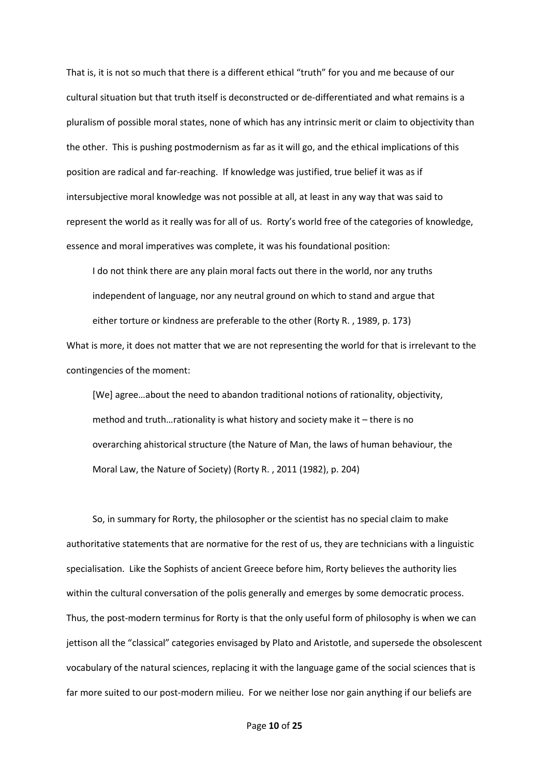That is, it is not so much that there is a different ethical "truth" for you and me because of our cultural situation but that truth itself is deconstructed or de-differentiated and what remains is a pluralism of possible moral states, none of which has any intrinsic merit or claim to objectivity than the other. This is pushing postmodernism as far as it will go, and the ethical implications of this position are radical and far-reaching. If knowledge was justified, true belief it was as if intersubjective moral knowledge was not possible at all, at least in any way that was said to represent the world as it really was for all of us. Rorty's world free of the categories of knowledge, essence and moral imperatives was complete, it was his foundational position:

I do not think there are any plain moral facts out there in the world, nor any truths independent of language, nor any neutral ground on which to stand and argue that either torture or kindness are preferable to the other (Rorty R. , 1989, p. 173)

What is more, it does not matter that we are not representing the world for that is irrelevant to the contingencies of the moment:

[We] agree…about the need to abandon traditional notions of rationality, objectivity, method and truth…rationality is what history and society make it – there is no overarching ahistorical structure (the Nature of Man, the laws of human behaviour, the Moral Law, the Nature of Society) (Rorty R. , 2011 (1982), p. 204)

So, in summary for Rorty, the philosopher or the scientist has no special claim to make authoritative statements that are normative for the rest of us, they are technicians with a linguistic specialisation. Like the Sophists of ancient Greece before him, Rorty believes the authority lies within the cultural conversation of the polis generally and emerges by some democratic process. Thus, the post-modern terminus for Rorty is that the only useful form of philosophy is when we can jettison all the "classical" categories envisaged by Plato and Aristotle, and supersede the obsolescent vocabulary of the natural sciences, replacing it with the language game of the social sciences that is far more suited to our post-modern milieu. For we neither lose nor gain anything if our beliefs are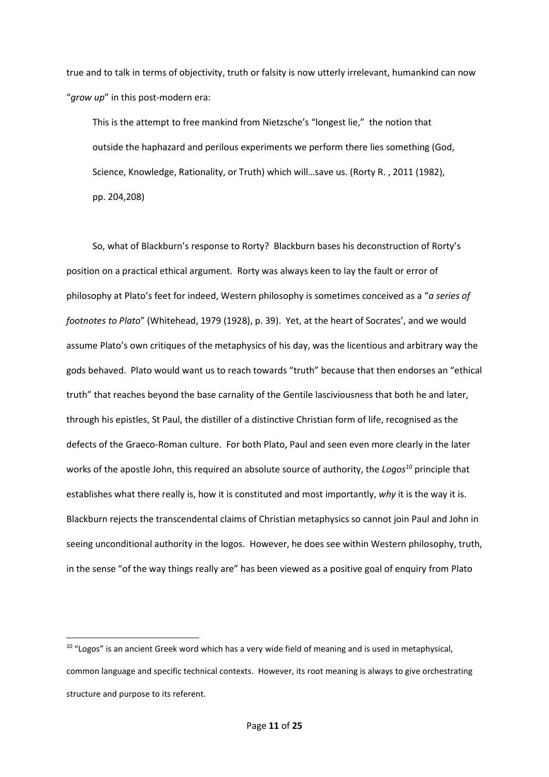true and to talk in terms of objectivity, truth or falsity is now utterly irrelevant, humankind can now "*grow up*" in this post-modern era:

This is the attempt to free mankind from Nietzsche's "longest lie," the notion that outside the haphazard and perilous experiments we perform there lies something (God, Science, Knowledge, Rationality, or Truth) which will…save us. (Rorty R. , 2011 (1982), pp. 204,208)

So, what of Blackburn's response to Rorty? Blackburn bases his deconstruction of Rorty's position on a practical ethical argument. Rorty was always keen to lay the fault or error of philosophy at Plato's feet for indeed, Western philosophy is sometimes conceived as a "*a series of footnotes to Plato*" (Whitehead, 1979 (1928), p. 39). Yet, at the heart of Socrates', and we would assume Plato's own critiques of the metaphysics of his day, was the licentious and arbitrary way the gods behaved. Plato would want us to reach towards "truth" because that then endorses an "ethical truth" that reaches beyond the base carnality of the Gentile lasciviousness that both he and later, through his epistles, St Paul, the distiller of a distinctive Christian form of life, recognised as the defects of the Graeco-Roman culture. For both Plato, Paul and seen even more clearly in the later works of the apostle John, this required an absolute source of authority, the *Logos<sup>10</sup>* principle that establishes what there really is, how it is constituted and most importantly, *why* it is the way it is. Blackburn rejects the transcendental claims of Christian metaphysics so cannot join Paul and John in seeing unconditional authority in the logos. However, he does see within Western philosophy, truth, in the sense "of the way things really are" has been viewed as a positive goal of enquiry from Plato

 $10$  "Logos" is an ancient Greek word which has a very wide field of meaning and is used in metaphysical, common language and specific technical contexts. However, its root meaning is always to give orchestrating structure and purpose to its referent.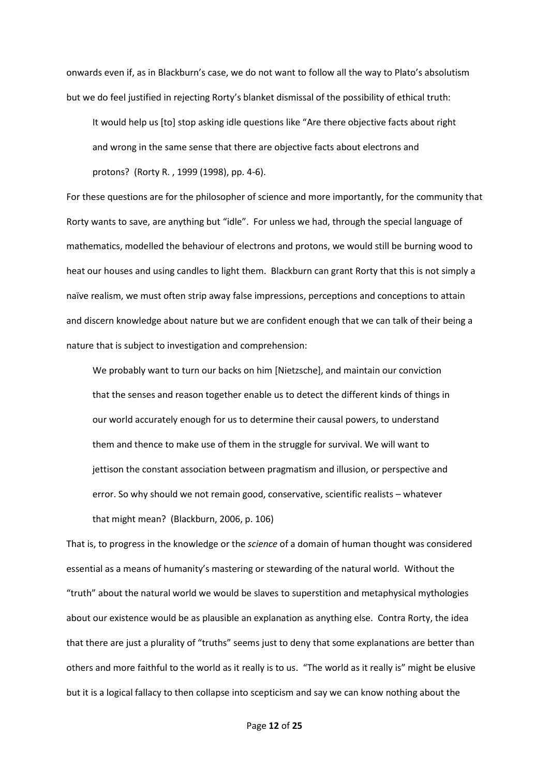onwards even if, as in Blackburn's case, we do not want to follow all the way to Plato's absolutism but we do feel justified in rejecting Rorty's blanket dismissal of the possibility of ethical truth:

It would help us [to] stop asking idle questions like "Are there objective facts about right and wrong in the same sense that there are objective facts about electrons and protons? (Rorty R. , 1999 (1998), pp. 4-6).

For these questions are for the philosopher of science and more importantly, for the community that Rorty wants to save, are anything but "idle". For unless we had, through the special language of mathematics, modelled the behaviour of electrons and protons, we would still be burning wood to heat our houses and using candles to light them. Blackburn can grant Rorty that this is not simply a naïve realism, we must often strip away false impressions, perceptions and conceptions to attain and discern knowledge about nature but we are confident enough that we can talk of their being a nature that is subject to investigation and comprehension:

We probably want to turn our backs on him [Nietzsche], and maintain our conviction that the senses and reason together enable us to detect the different kinds of things in our world accurately enough for us to determine their causal powers, to understand them and thence to make use of them in the struggle for survival. We will want to jettison the constant association between pragmatism and illusion, or perspective and error. So why should we not remain good, conservative, scientific realists – whatever that might mean? (Blackburn, 2006, p. 106)

That is, to progress in the knowledge or the *science* of a domain of human thought was considered essential as a means of humanity's mastering or stewarding of the natural world. Without the "truth" about the natural world we would be slaves to superstition and metaphysical mythologies about our existence would be as plausible an explanation as anything else. Contra Rorty, the idea that there are just a plurality of "truths" seems just to deny that some explanations are better than others and more faithful to the world as it really is to us. "The world as it really is" might be elusive but it is a logical fallacy to then collapse into scepticism and say we can know nothing about the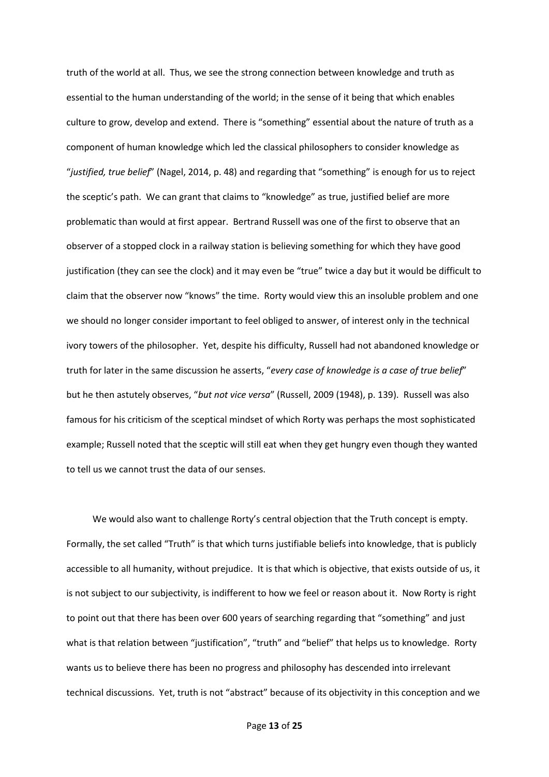truth of the world at all. Thus, we see the strong connection between knowledge and truth as essential to the human understanding of the world; in the sense of it being that which enables culture to grow, develop and extend. There is "something" essential about the nature of truth as a component of human knowledge which led the classical philosophers to consider knowledge as "*justified, true belief*" (Nagel, 2014, p. 48) and regarding that "something" is enough for us to reject the sceptic's path. We can grant that claims to "knowledge" as true, justified belief are more problematic than would at first appear. Bertrand Russell was one of the first to observe that an observer of a stopped clock in a railway station is believing something for which they have good justification (they can see the clock) and it may even be "true" twice a day but it would be difficult to claim that the observer now "knows" the time. Rorty would view this an insoluble problem and one we should no longer consider important to feel obliged to answer, of interest only in the technical ivory towers of the philosopher. Yet, despite his difficulty, Russell had not abandoned knowledge or truth for later in the same discussion he asserts, "*every case of knowledge is a case of true belief*" but he then astutely observes, "*but not vice versa*" (Russell, 2009 (1948), p. 139). Russell was also famous for his criticism of the sceptical mindset of which Rorty was perhaps the most sophisticated example; Russell noted that the sceptic will still eat when they get hungry even though they wanted to tell us we cannot trust the data of our senses.

We would also want to challenge Rorty's central objection that the Truth concept is empty. Formally, the set called "Truth" is that which turns justifiable beliefs into knowledge, that is publicly accessible to all humanity, without prejudice. It is that which is objective, that exists outside of us, it is not subject to our subjectivity, is indifferent to how we feel or reason about it. Now Rorty is right to point out that there has been over 600 years of searching regarding that "something" and just what is that relation between "justification", "truth" and "belief" that helps us to knowledge. Rorty wants us to believe there has been no progress and philosophy has descended into irrelevant technical discussions. Yet, truth is not "abstract" because of its objectivity in this conception and we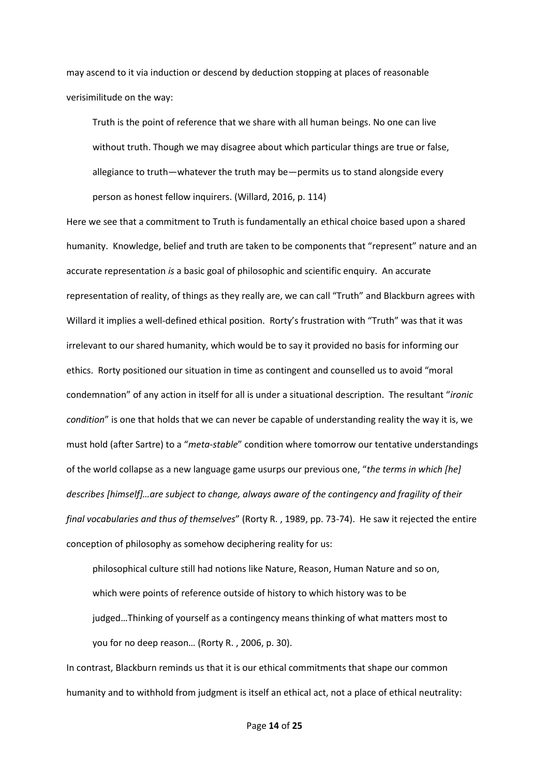may ascend to it via induction or descend by deduction stopping at places of reasonable verisimilitude on the way:

Truth is the point of reference that we share with all human beings. No one can live without truth. Though we may disagree about which particular things are true or false, allegiance to truth—whatever the truth may be—permits us to stand alongside every person as honest fellow inquirers. (Willard, 2016, p. 114)

Here we see that a commitment to Truth is fundamentally an ethical choice based upon a shared humanity. Knowledge, belief and truth are taken to be components that "represent" nature and an accurate representation *is* a basic goal of philosophic and scientific enquiry. An accurate representation of reality, of things as they really are, we can call "Truth" and Blackburn agrees with Willard it implies a well-defined ethical position. Rorty's frustration with "Truth" was that it was irrelevant to our shared humanity, which would be to say it provided no basis for informing our ethics. Rorty positioned our situation in time as contingent and counselled us to avoid "moral condemnation" of any action in itself for all is under a situational description. The resultant "*ironic condition*" is one that holds that we can never be capable of understanding reality the way it is, we must hold (after Sartre) to a "*meta-stable*" condition where tomorrow our tentative understandings of the world collapse as a new language game usurps our previous one, "*the terms in which [he] describes [himself]…are subject to change, always aware of the contingency and fragility of their final vocabularies and thus of themselves*" (Rorty R. , 1989, pp. 73-74). He saw it rejected the entire conception of philosophy as somehow deciphering reality for us:

philosophical culture still had notions like Nature, Reason, Human Nature and so on, which were points of reference outside of history to which history was to be judged…Thinking of yourself as a contingency means thinking of what matters most to you for no deep reason… (Rorty R. , 2006, p. 30).

In contrast, Blackburn reminds us that it is our ethical commitments that shape our common humanity and to withhold from judgment is itself an ethical act, not a place of ethical neutrality: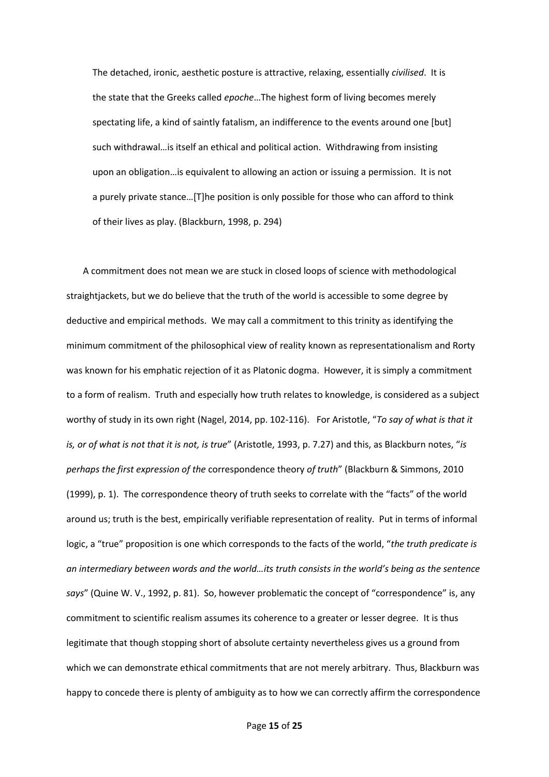The detached, ironic, aesthetic posture is attractive, relaxing, essentially *civilised*. It is the state that the Greeks called *epoche*…The highest form of living becomes merely spectating life, a kind of saintly fatalism, an indifference to the events around one [but] such withdrawal…is itself an ethical and political action. Withdrawing from insisting upon an obligation…is equivalent to allowing an action or issuing a permission. It is not a purely private stance…[T]he position is only possible for those who can afford to think of their lives as play. (Blackburn, 1998, p. 294)

A commitment does not mean we are stuck in closed loops of science with methodological straightjackets, but we do believe that the truth of the world is accessible to some degree by deductive and empirical methods. We may call a commitment to this trinity as identifying the minimum commitment of the philosophical view of reality known as representationalism and Rorty was known for his emphatic rejection of it as Platonic dogma. However, it is simply a commitment to a form of realism. Truth and especially how truth relates to knowledge, is considered as a subject worthy of study in its own right (Nagel, 2014, pp. 102-116). For Aristotle, "*To say of what is that it is, or of what is not that it is not, is true*" (Aristotle, 1993, p. 7.27) and this, as Blackburn notes, "*is perhaps the first expression of the* correspondence theory *of truth*" (Blackburn & Simmons, 2010 (1999), p. 1). The correspondence theory of truth seeks to correlate with the "facts" of the world around us; truth is the best, empirically verifiable representation of reality. Put in terms of informal logic, a "true" proposition is one which corresponds to the facts of the world, "*the truth predicate is an intermediary between words and the world…its truth consists in the world's being as the sentence*  says" (Quine W. V., 1992, p. 81). So, however problematic the concept of "correspondence" is, any commitment to scientific realism assumes its coherence to a greater or lesser degree. It is thus legitimate that though stopping short of absolute certainty nevertheless gives us a ground from which we can demonstrate ethical commitments that are not merely arbitrary. Thus, Blackburn was happy to concede there is plenty of ambiguity as to how we can correctly affirm the correspondence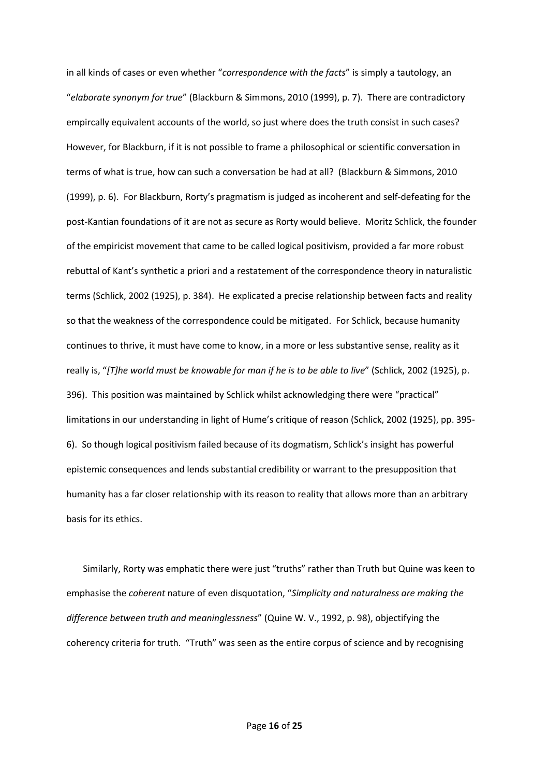in all kinds of cases or even whether "*correspondence with the facts*" is simply a tautology, an "*elaborate synonym for true*" (Blackburn & Simmons, 2010 (1999), p. 7). There are contradictory empircally equivalent accounts of the world, so just where does the truth consist in such cases? However, for Blackburn, if it is not possible to frame a philosophical or scientific conversation in terms of what is true, how can such a conversation be had at all? (Blackburn & Simmons, 2010 (1999), p. 6). For Blackburn, Rorty's pragmatism is judged as incoherent and self-defeating for the post-Kantian foundations of it are not as secure as Rorty would believe. Moritz Schlick, the founder of the empiricist movement that came to be called logical positivism, provided a far more robust rebuttal of Kant's synthetic a priori and a restatement of the correspondence theory in naturalistic terms (Schlick, 2002 (1925), p. 384). He explicated a precise relationship between facts and reality so that the weakness of the correspondence could be mitigated. For Schlick, because humanity continues to thrive, it must have come to know, in a more or less substantive sense, reality as it really is, "*[T]he world must be knowable for man if he is to be able to live*" (Schlick, 2002 (1925), p. 396). This position was maintained by Schlick whilst acknowledging there were "practical" limitations in our understanding in light of Hume's critique of reason (Schlick, 2002 (1925), pp. 395- 6). So though logical positivism failed because of its dogmatism, Schlick's insight has powerful epistemic consequences and lends substantial credibility or warrant to the presupposition that humanity has a far closer relationship with its reason to reality that allows more than an arbitrary basis for its ethics.

Similarly, Rorty was emphatic there were just "truths" rather than Truth but Quine was keen to emphasise the *coherent* nature of even disquotation, "*Simplicity and naturalness are making the difference between truth and meaninglessness*" (Quine W. V., 1992, p. 98), objectifying the coherency criteria for truth. "Truth" was seen as the entire corpus of science and by recognising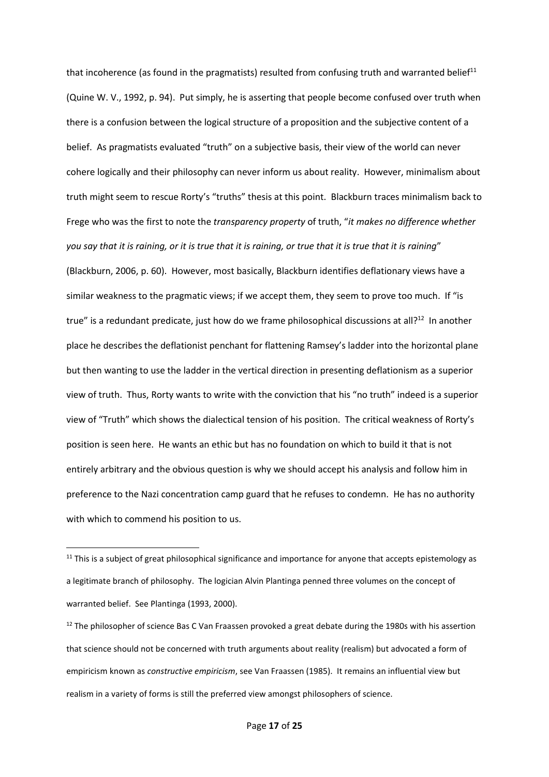that incoherence (as found in the pragmatists) resulted from confusing truth and warranted belief<sup>11</sup> (Quine W. V., 1992, p. 94). Put simply, he is asserting that people become confused over truth when there is a confusion between the logical structure of a proposition and the subjective content of a belief. As pragmatists evaluated "truth" on a subjective basis, their view of the world can never cohere logically and their philosophy can never inform us about reality. However, minimalism about truth might seem to rescue Rorty's "truths" thesis at this point. Blackburn traces minimalism back to Frege who was the first to note the *transparency property* of truth, "*it makes no difference whether you say that it is raining, or it is true that it is raining, or true that it is true that it is raining*" (Blackburn, 2006, p. 60). However, most basically, Blackburn identifies deflationary views have a similar weakness to the pragmatic views; if we accept them, they seem to prove too much. If "is true" is a redundant predicate, just how do we frame philosophical discussions at all?<sup>12</sup> In another place he describes the deflationist penchant for flattening Ramsey's ladder into the horizontal plane but then wanting to use the ladder in the vertical direction in presenting deflationism as a superior view of truth. Thus, Rorty wants to write with the conviction that his "no truth" indeed is a superior view of "Truth" which shows the dialectical tension of his position. The critical weakness of Rorty's position is seen here. He wants an ethic but has no foundation on which to build it that is not entirely arbitrary and the obvious question is why we should accept his analysis and follow him in preference to the Nazi concentration camp guard that he refuses to condemn. He has no authority with which to commend his position to us.

 $11$  This is a subject of great philosophical significance and importance for anyone that accepts epistemology as a legitimate branch of philosophy. The logician Alvin Plantinga penned three volumes on the concept of warranted belief. See Plantinga (1993, 2000).

 $12$  The philosopher of science Bas C Van Fraassen provoked a great debate during the 1980s with his assertion that science should not be concerned with truth arguments about reality (realism) but advocated a form of empiricism known as *constructive empiricism*, see Van Fraassen (1985). It remains an influential view but realism in a variety of forms is still the preferred view amongst philosophers of science.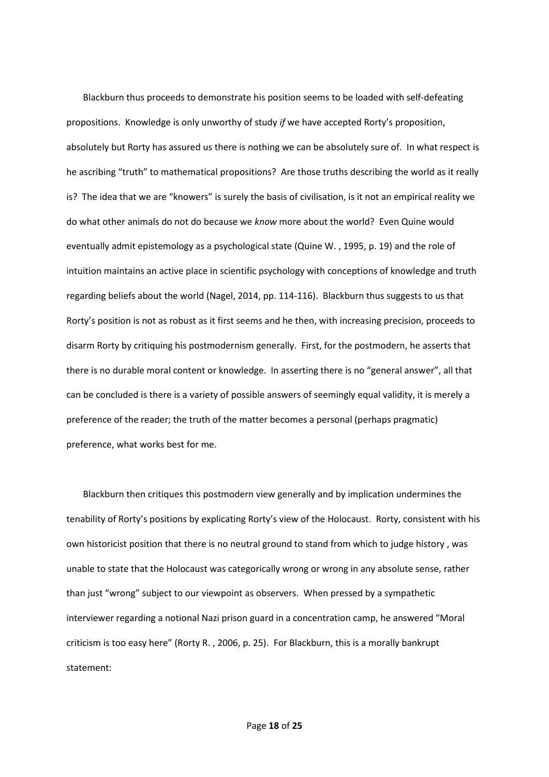Blackburn thus proceeds to demonstrate his position seems to be loaded with self-defeating propositions. Knowledge is only unworthy of study *if* we have accepted Rorty's proposition, absolutely but Rorty has assured us there is nothing we can be absolutely sure of. In what respect is he ascribing "truth" to mathematical propositions? Are those truths describing the world as it really is? The idea that we are "knowers" is surely the basis of civilisation, is it not an empirical reality we do what other animals do not do because we *know* more about the world? Even Quine would eventually admit epistemology as a psychological state (Quine W. , 1995, p. 19) and the role of intuition maintains an active place in scientific psychology with conceptions of knowledge and truth regarding beliefs about the world (Nagel, 2014, pp. 114-116). Blackburn thus suggests to us that Rorty's position is not as robust as it first seems and he then, with increasing precision, proceeds to disarm Rorty by critiquing his postmodernism generally. First, for the postmodern, he asserts that there is no durable moral content or knowledge. In asserting there is no "general answer", all that can be concluded is there is a variety of possible answers of seemingly equal validity, it is merely a preference of the reader; the truth of the matter becomes a personal (perhaps pragmatic) preference, what works best for me.

Blackburn then critiques this postmodern view generally and by implication undermines the tenability of Rorty's positions by explicating Rorty's view of the Holocaust. Rorty, consistent with his own historicist position that there is no neutral ground to stand from which to judge history , was unable to state that the Holocaust was categorically wrong or wrong in any absolute sense, rather than just "wrong" subject to our viewpoint as observers. When pressed by a sympathetic interviewer regarding a notional Nazi prison guard in a concentration camp, he answered "Moral criticism is too easy here" (Rorty R. , 2006, p. 25). For Blackburn, this is a morally bankrupt statement: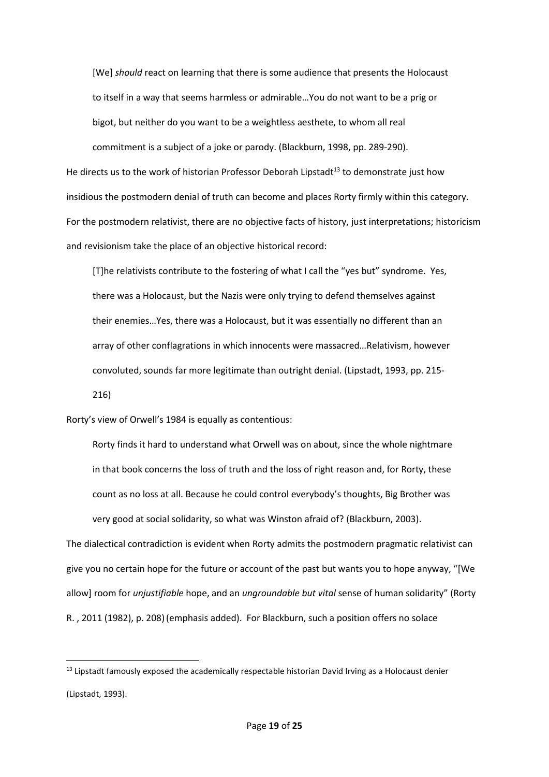[We] *should* react on learning that there is some audience that presents the Holocaust to itself in a way that seems harmless or admirable…You do not want to be a prig or bigot, but neither do you want to be a weightless aesthete, to whom all real commitment is a subject of a joke or parody. (Blackburn, 1998, pp. 289-290).

He directs us to the work of historian Professor Deborah Lipstadt<sup>13</sup> to demonstrate just how insidious the postmodern denial of truth can become and places Rorty firmly within this category. For the postmodern relativist, there are no objective facts of history, just interpretations; historicism and revisionism take the place of an objective historical record:

[T]he relativists contribute to the fostering of what I call the "yes but" syndrome. Yes, there was a Holocaust, but the Nazis were only trying to defend themselves against their enemies…Yes, there was a Holocaust, but it was essentially no different than an array of other conflagrations in which innocents were massacred…Relativism, however convoluted, sounds far more legitimate than outright denial. (Lipstadt, 1993, pp. 215- 216)

Rorty's view of Orwell's 1984 is equally as contentious:

Rorty finds it hard to understand what Orwell was on about, since the whole nightmare in that book concerns the loss of truth and the loss of right reason and, for Rorty, these count as no loss at all. Because he could control everybody's thoughts, Big Brother was very good at social solidarity, so what was Winston afraid of? (Blackburn, 2003).

The dialectical contradiction is evident when Rorty admits the postmodern pragmatic relativist can give you no certain hope for the future or account of the past but wants you to hope anyway, "[We allow] room for *unjustifiable* hope, and an *ungroundable but vital* sense of human solidarity" (Rorty R. , 2011 (1982), p. 208)(emphasis added). For Blackburn, such a position offers no solace

<sup>&</sup>lt;sup>13</sup> Lipstadt famously exposed the academically respectable historian David Irving as a Holocaust denier (Lipstadt, 1993).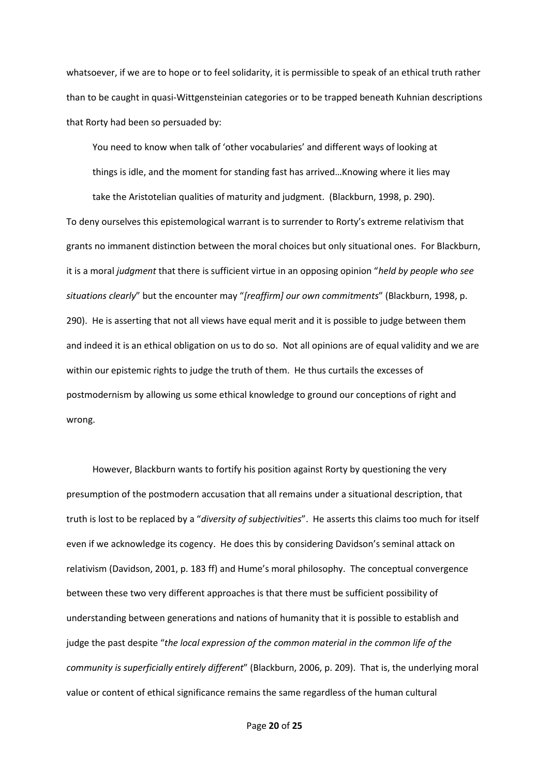whatsoever, if we are to hope or to feel solidarity, it is permissible to speak of an ethical truth rather than to be caught in quasi-Wittgensteinian categories or to be trapped beneath Kuhnian descriptions that Rorty had been so persuaded by:

You need to know when talk of 'other vocabularies' and different ways of looking at

things is idle, and the moment for standing fast has arrived…Knowing where it lies may take the Aristotelian qualities of maturity and judgment. (Blackburn, 1998, p. 290).

To deny ourselves this epistemological warrant is to surrender to Rorty's extreme relativism that grants no immanent distinction between the moral choices but only situational ones. For Blackburn, it is a moral *judgment* that there is sufficient virtue in an opposing opinion "*held by people who see situations clearly*" but the encounter may "*[reaffirm] our own commitments*" (Blackburn, 1998, p. 290). He is asserting that not all views have equal merit and it is possible to judge between them and indeed it is an ethical obligation on us to do so. Not all opinions are of equal validity and we are within our epistemic rights to judge the truth of them. He thus curtails the excesses of postmodernism by allowing us some ethical knowledge to ground our conceptions of right and wrong.

However, Blackburn wants to fortify his position against Rorty by questioning the very presumption of the postmodern accusation that all remains under a situational description, that truth is lost to be replaced by a "*diversity of subjectivities*". He asserts this claims too much for itself even if we acknowledge its cogency. He does this by considering Davidson's seminal attack on relativism (Davidson, 2001, p. 183 ff) and Hume's moral philosophy. The conceptual convergence between these two very different approaches is that there must be sufficient possibility of understanding between generations and nations of humanity that it is possible to establish and judge the past despite "*the local expression of the common material in the common life of the community is superficially entirely different*" (Blackburn, 2006, p. 209). That is, the underlying moral value or content of ethical significance remains the same regardless of the human cultural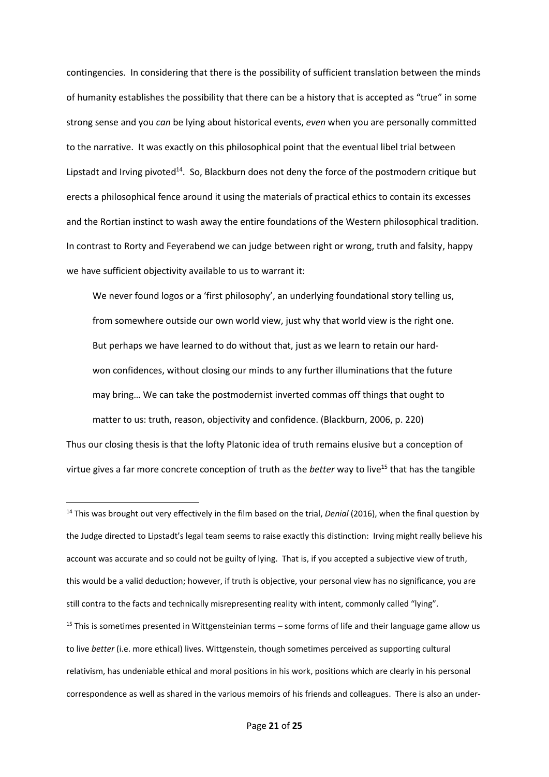contingencies. In considering that there is the possibility of sufficient translation between the minds of humanity establishes the possibility that there can be a history that is accepted as "true" in some strong sense and you *can* be lying about historical events, *even* when you are personally committed to the narrative. It was exactly on this philosophical point that the eventual libel trial between Lipstadt and Irving pivoted<sup>14</sup>. So, Blackburn does not deny the force of the postmodern critique but erects a philosophical fence around it using the materials of practical ethics to contain its excesses and the Rortian instinct to wash away the entire foundations of the Western philosophical tradition. In contrast to Rorty and Feyerabend we can judge between right or wrong, truth and falsity, happy we have sufficient objectivity available to us to warrant it:

We never found logos or a 'first philosophy', an underlying foundational story telling us, from somewhere outside our own world view, just why that world view is the right one. But perhaps we have learned to do without that, just as we learn to retain our hardwon confidences, without closing our minds to any further illuminations that the future may bring… We can take the postmodernist inverted commas off things that ought to matter to us: truth, reason, objectivity and confidence. (Blackburn, 2006, p. 220)

Thus our closing thesis is that the lofty Platonic idea of truth remains elusive but a conception of virtue gives a far more concrete conception of truth as the *better* way to live<sup>15</sup> that has the tangible

<sup>14</sup> This was brought out very effectively in the film based on the trial, *Denial* (2016), when the final question by the Judge directed to Lipstadt's legal team seems to raise exactly this distinction: Irving might really believe his account was accurate and so could not be guilty of lying. That is, if you accepted a subjective view of truth, this would be a valid deduction; however, if truth is objective, your personal view has no significance, you are still contra to the facts and technically misrepresenting reality with intent, commonly called "lying".  $15$  This is sometimes presented in Wittgensteinian terms – some forms of life and their language game allow us to live *better* (i.e. more ethical) lives. Wittgenstein, though sometimes perceived as supporting cultural relativism, has undeniable ethical and moral positions in his work, positions which are clearly in his personal correspondence as well as shared in the various memoirs of his friends and colleagues. There is also an under-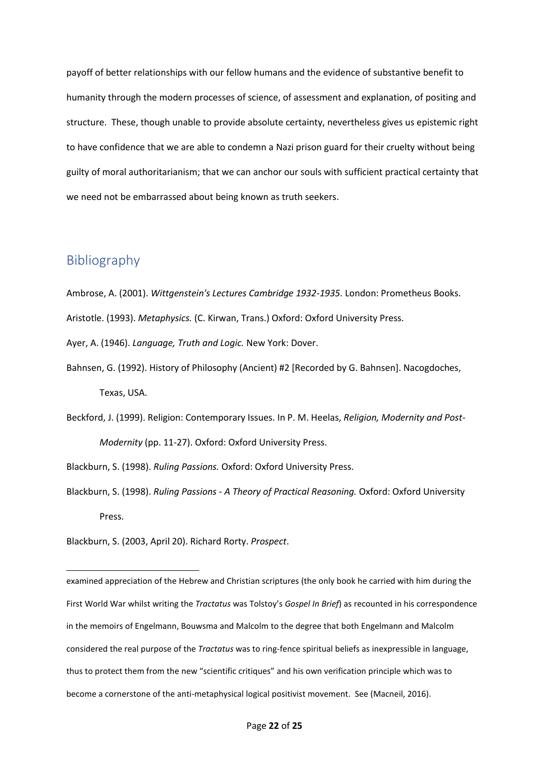payoff of better relationships with our fellow humans and the evidence of substantive benefit to humanity through the modern processes of science, of assessment and explanation, of positing and structure. These, though unable to provide absolute certainty, nevertheless gives us epistemic right to have confidence that we are able to condemn a Nazi prison guard for their cruelty without being guilty of moral authoritarianism; that we can anchor our souls with sufficient practical certainty that we need not be embarrassed about being known as truth seekers.

## Bibliography

- Ambrose, A. (2001). *Wittgenstein's Lectures Cambridge 1932-1935.* London: Prometheus Books.
- Aristotle. (1993). *Metaphysics.* (C. Kirwan, Trans.) Oxford: Oxford University Press.

Ayer, A. (1946). *Language, Truth and Logic.* New York: Dover.

- Bahnsen, G. (1992). History of Philosophy (Ancient) #2 [Recorded by G. Bahnsen]. Nacogdoches, Texas, USA.
- Beckford, J. (1999). Religion: Contemporary Issues. In P. M. Heelas, *Religion, Modernity and Post-Modernity* (pp. 11-27). Oxford: Oxford University Press.
- Blackburn, S. (1998). *Ruling Passions.* Oxford: Oxford University Press.
- Blackburn, S. (1998). *Ruling Passions - A Theory of Practical Reasoning.* Oxford: Oxford University Press.

Blackburn, S. (2003, April 20). Richard Rorty. *Prospect*.

examined appreciation of the Hebrew and Christian scriptures (the only book he carried with him during the First World War whilst writing the *Tractatus* was Tolstoy's *Gospel In Brief*) as recounted in his correspondence in the memoirs of Engelmann, Bouwsma and Malcolm to the degree that both Engelmann and Malcolm considered the real purpose of the *Tractatus* was to ring-fence spiritual beliefs as inexpressible in language, thus to protect them from the new "scientific critiques" and his own verification principle which was to become a cornerstone of the anti-metaphysical logical positivist movement. See (Macneil, 2016).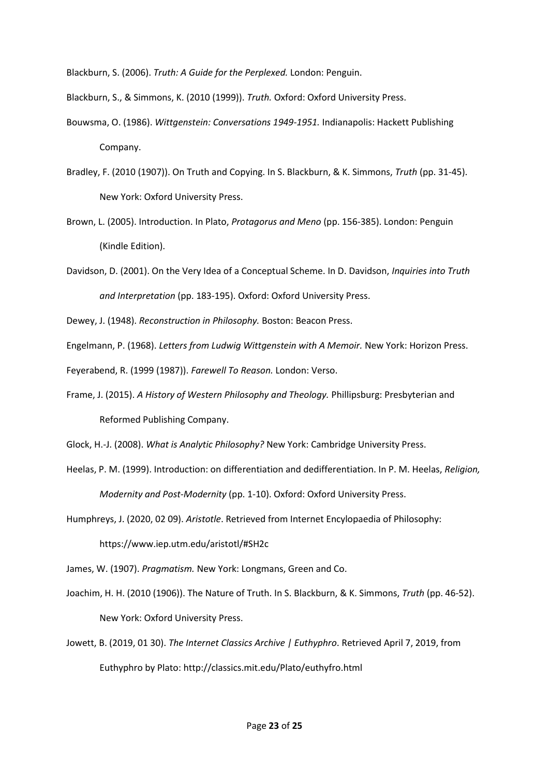Blackburn, S. (2006). *Truth: A Guide for the Perplexed.* London: Penguin.

Blackburn, S., & Simmons, K. (2010 (1999)). *Truth.* Oxford: Oxford University Press.

- Bouwsma, O. (1986). *Wittgenstein: Conversations 1949-1951.* Indianapolis: Hackett Publishing Company.
- Bradley, F. (2010 (1907)). On Truth and Copying. In S. Blackburn, & K. Simmons, *Truth* (pp. 31-45). New York: Oxford University Press.
- Brown, L. (2005). Introduction. In Plato, *Protagorus and Meno* (pp. 156-385). London: Penguin (Kindle Edition).
- Davidson, D. (2001). On the Very Idea of a Conceptual Scheme. In D. Davidson, *Inquiries into Truth and Interpretation* (pp. 183-195). Oxford: Oxford University Press.

Dewey, J. (1948). *Reconstruction in Philosophy.* Boston: Beacon Press.

Engelmann, P. (1968). *Letters from Ludwig Wittgenstein with A Memoir.* New York: Horizon Press.

Feyerabend, R. (1999 (1987)). *Farewell To Reason.* London: Verso.

Frame, J. (2015). *A History of Western Philosophy and Theology.* Phillipsburg: Presbyterian and Reformed Publishing Company.

Glock, H.-J. (2008). *What is Analytic Philosophy?* New York: Cambridge University Press.

Heelas, P. M. (1999). Introduction: on differentiation and dedifferentiation. In P. M. Heelas, *Religion, Modernity and Post-Modernity* (pp. 1-10). Oxford: Oxford University Press.

Humphreys, J. (2020, 02 09). *Aristotle*. Retrieved from Internet Encylopaedia of Philosophy: https://www.iep.utm.edu/aristotl/#SH2c

James, W. (1907). *Pragmatism.* New York: Longmans, Green and Co.

- Joachim, H. H. (2010 (1906)). The Nature of Truth. In S. Blackburn, & K. Simmons, *Truth* (pp. 46-52). New York: Oxford University Press.
- Jowett, B. (2019, 01 30). *The Internet Classics Archive | Euthyphro*. Retrieved April 7, 2019, from Euthyphro by Plato: http://classics.mit.edu/Plato/euthyfro.html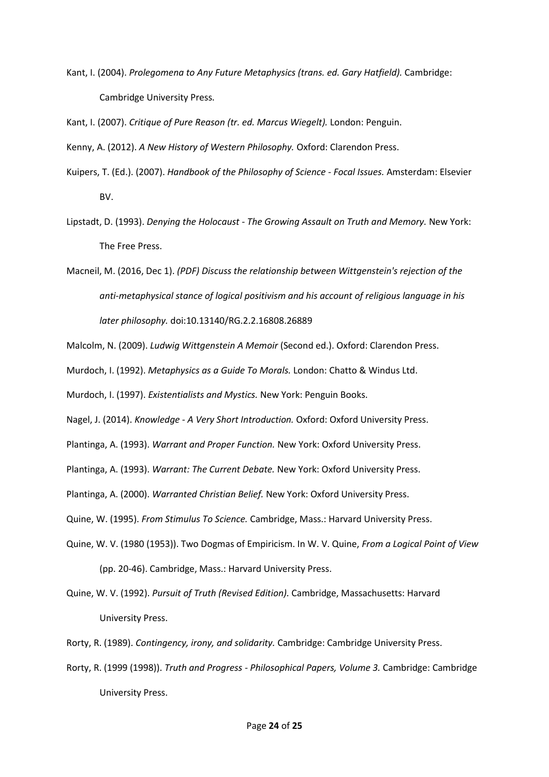Kant, I. (2004). *Prolegomena to Any Future Metaphysics (trans. ed. Gary Hatfield).* Cambridge: Cambridge University Press.

Kant, I. (2007). *Critique of Pure Reason (tr. ed. Marcus Wiegelt).* London: Penguin.

Kenny, A. (2012). *A New History of Western Philosophy.* Oxford: Clarendon Press.

- Kuipers, T. (Ed.). (2007). *Handbook of the Philosophy of Science - Focal Issues.* Amsterdam: Elsevier BV.
- Lipstadt, D. (1993). *Denying the Holocaust - The Growing Assault on Truth and Memory.* New York: The Free Press.
- Macneil, M. (2016, Dec 1). *(PDF) Discuss the relationship between Wittgenstein's rejection of the anti-metaphysical stance of logical positivism and his account of religious language in his later philosophy.* doi:10.13140/RG.2.2.16808.26889

Malcolm, N. (2009). *Ludwig Wittgenstein A Memoir* (Second ed.). Oxford: Clarendon Press.

Murdoch, I. (1992). *Metaphysics as a Guide To Morals.* London: Chatto & Windus Ltd.

Murdoch, I. (1997). *Existentialists and Mystics.* New York: Penguin Books.

Nagel, J. (2014). *Knowledge - A Very Short Introduction.* Oxford: Oxford University Press.

Plantinga, A. (1993). *Warrant and Proper Function.* New York: Oxford University Press.

Plantinga, A. (1993). *Warrant: The Current Debate.* New York: Oxford University Press.

Plantinga, A. (2000). *Warranted Christian Belief.* New York: Oxford University Press.

Quine, W. (1995). *From Stimulus To Science.* Cambridge, Mass.: Harvard University Press.

- Quine, W. V. (1980 (1953)). Two Dogmas of Empiricism. In W. V. Quine, *From a Logical Point of View* (pp. 20-46). Cambridge, Mass.: Harvard University Press.
- Quine, W. V. (1992). *Pursuit of Truth (Revised Edition).* Cambridge, Massachusetts: Harvard University Press.
- Rorty, R. (1989). *Contingency, irony, and solidarity.* Cambridge: Cambridge University Press.
- Rorty, R. (1999 (1998)). *Truth and Progress - Philosophical Papers, Volume 3.* Cambridge: Cambridge University Press.